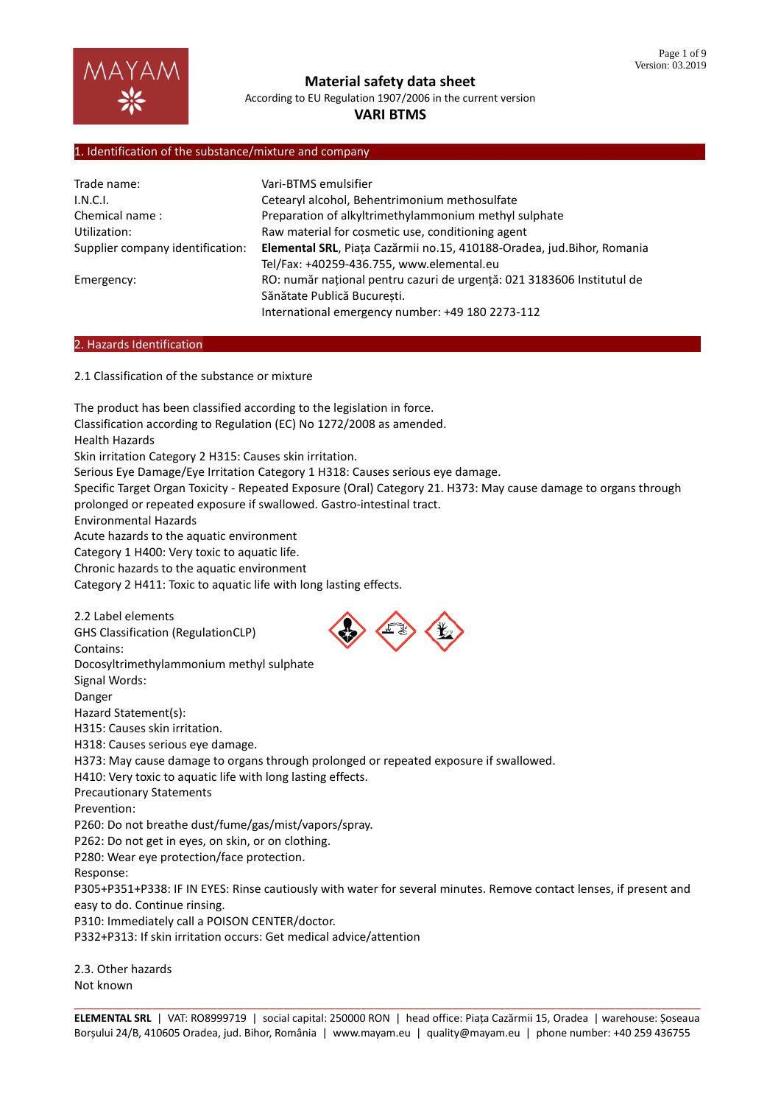

According to EU Regulation 1907/2006 in the current version

# **VARI BTMS**

## 1. Identification of the substance/mixture and company

| Trade name:                      | Vari-BTMS emulsifier                                                   |  |  |
|----------------------------------|------------------------------------------------------------------------|--|--|
| I.N.C.I.                         | Cetearyl alcohol, Behentrimonium methosulfate                          |  |  |
| Chemical name:                   | Preparation of alkyltrimethylammonium methyl sulphate                  |  |  |
| Utilization:                     | Raw material for cosmetic use, conditioning agent                      |  |  |
| Supplier company identification: | Elemental SRL, Piata Cazărmii no.15, 410188-Oradea, jud.Bihor, Romania |  |  |
|                                  | Tel/Fax: +40259-436.755, www.elemental.eu                              |  |  |
| Emergency:                       | RO: număr național pentru cazuri de urgență: 021 3183606 Institutul de |  |  |
|                                  | Sănătate Publică București.                                            |  |  |
|                                  | International emergency number: +49 180 2273-112                       |  |  |

#### 2. Hazards Identification

2.1 Classification of the substance or mixture

The product has been classified according to the legislation in force. Classification according to Regulation (EC) No 1272/2008 as amended. Health Hazards Skin irritation Category 2 H315: Causes skin irritation. Serious Eye Damage/Eye Irritation Category 1 H318: Causes serious eye damage. Specific Target Organ Toxicity - Repeated Exposure (Oral) Category 21. H373: May cause damage to organs through prolonged or repeated exposure if swallowed. Gastro-intestinal tract. Environmental Hazards Acute hazards to the aquatic environment Category 1 H400: Very toxic to aquatic life. Chronic hazards to the aquatic environment Category 2 H411: Toxic to aquatic life with long lasting effects. 2.2 Label elements GHS Classification (RegulationCLP) Contains: Docosyltrimethylammonium methyl sulphate Signal Words: Danger Hazard Statement(s): H315: Causes skin irritation. H318: Causes serious eye damage. H373: May cause damage to organs through prolonged or repeated exposure if swallowed. H410: Very toxic to aquatic life with long lasting effects. Precautionary Statements Prevention: P260: Do not breathe dust/fume/gas/mist/vapors/spray. P262: Do not get in eyes, on skin, or on clothing. P280: Wear eye protection/face protection. Response: P305+P351+P338: IF IN EYES: Rinse cautiously with water for several minutes. Remove contact lenses, if present and easy to do. Continue rinsing. P310: Immediately call a POISON CENTER/doctor. P332+P313: If skin irritation occurs: Get medical advice/attention 2.3. Other hazards

Not known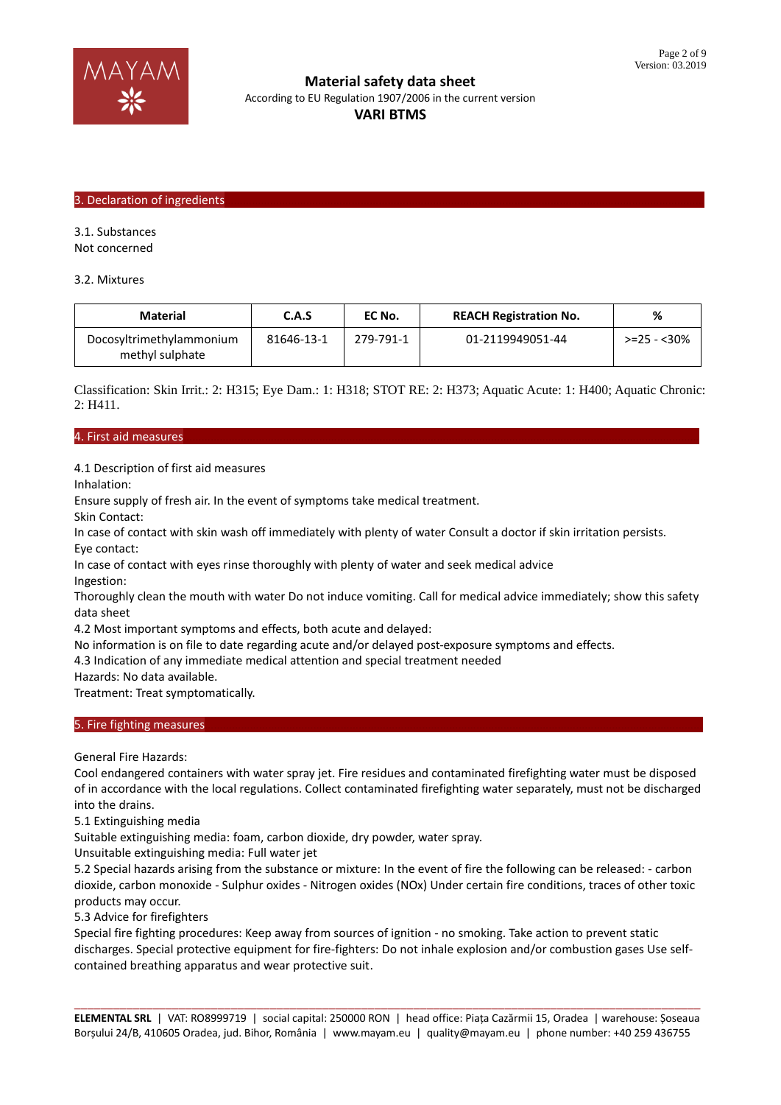

**Material safety data sheet** According to EU Regulation 1907/2006 in the current version **VARI BTMS**

# 3. Declaration of ingredients

3.1. Substances

Not concerned

3.2. Mixtures

| Material                                    | C.A.S      | EC No.    | <b>REACH Registration No.</b> | %           |
|---------------------------------------------|------------|-----------|-------------------------------|-------------|
| Docosyltrimethylammonium<br>methyl sulphate | 81646-13-1 | 279-791-1 | 01-2119949051-44              | >=25 - <30% |

Classification: Skin Irrit.: 2: H315; Eye Dam.: 1: H318; STOT RE: 2: H373; Aquatic Acute: 1: H400; Aquatic Chronic: 2: H411.

#### 4. First aid measures………………………………………………………………………………………………………………………………………………………

4.1 Description of first aid measures

Inhalation:

Ensure supply of fresh air. In the event of symptoms take medical treatment.

Skin Contact:

In case of contact with skin wash off immediately with plenty of water Consult a doctor if skin irritation persists. Eye contact:

In case of contact with eyes rinse thoroughly with plenty of water and seek medical advice Ingestion:

Thoroughly clean the mouth with water Do not induce vomiting. Call for medical advice immediately; show this safety data sheet

4.2 Most important symptoms and effects, both acute and delayed:

No information is on file to date regarding acute and/or delayed post-exposure symptoms and effects.

4.3 Indication of any immediate medical attention and special treatment needed

Hazards: No data available.

Treatment: Treat symptomatically.

#### 5. Fire fighting measures

General Fire Hazards:

Cool endangered containers with water spray jet. Fire residues and contaminated firefighting water must be disposed of in accordance with the local regulations. Collect contaminated firefighting water separately, must not be discharged into the drains.

5.1 Extinguishing media

Suitable extinguishing media: foam, carbon dioxide, dry powder, water spray.

Unsuitable extinguishing media: Full water jet

5.2 Special hazards arising from the substance or mixture: In the event of fire the following can be released: - carbon dioxide, carbon monoxide - Sulphur oxides - Nitrogen oxides (NOx) Under certain fire conditions, traces of other toxic products may occur.

5.3 Advice for firefighters

Special fire fighting procedures: Keep away from sources of ignition - no smoking. Take action to prevent static discharges. Special protective equipment for fire-fighters: Do not inhale explosion and/or combustion gases Use selfcontained breathing apparatus and wear protective suit.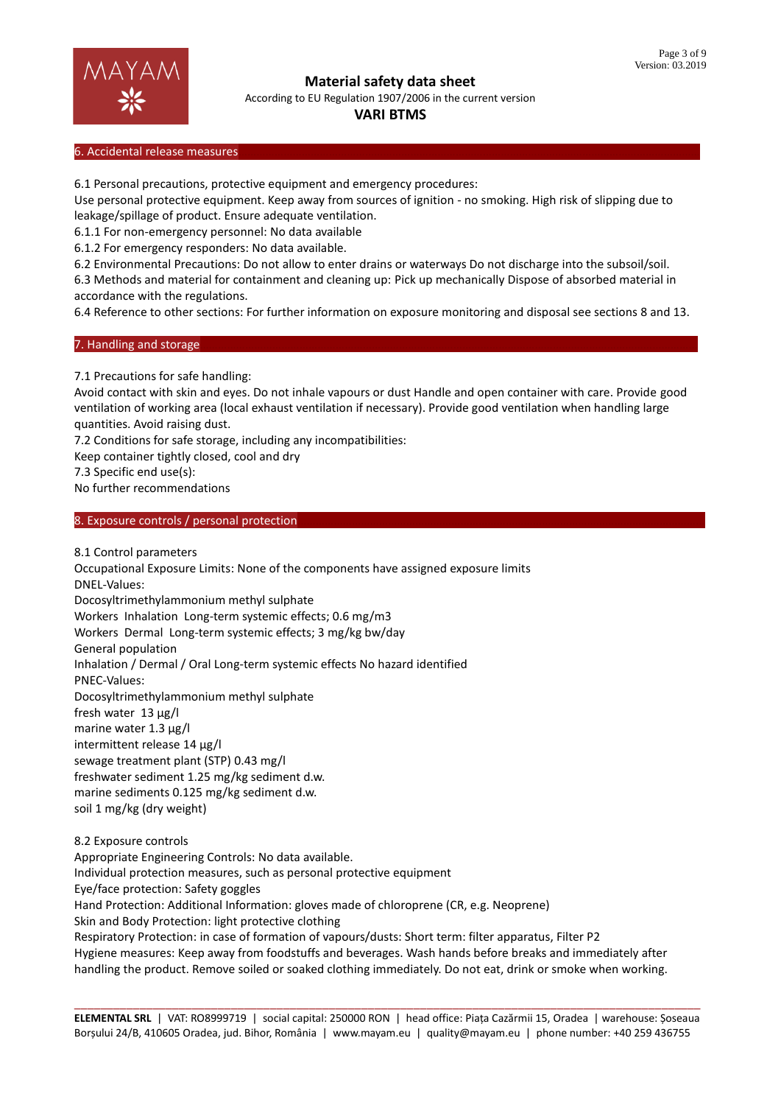

According to EU Regulation 1907/2006 in the current version

## **VARI BTMS**

#### 6. Accidental release measures

6.1 Personal precautions, protective equipment and emergency procedures:

Use personal protective equipment. Keep away from sources of ignition - no smoking. High risk of slipping due to leakage/spillage of product. Ensure adequate ventilation.

6.1.1 For non-emergency personnel: No data available

6.1.2 For emergency responders: No data available.

6.2 Environmental Precautions: Do not allow to enter drains or waterways Do not discharge into the subsoil/soil.

6.3 Methods and material for containment and cleaning up: Pick up mechanically Dispose of absorbed material in accordance with the regulations.

6.4 Reference to other sections: For further information on exposure monitoring and disposal see sections 8 and 13.

#### 7. Handling and storage

7.1 Precautions for safe handling:

Avoid contact with skin and eyes. Do not inhale vapours or dust Handle and open container with care. Provide good ventilation of working area (local exhaust ventilation if necessary). Provide good ventilation when handling large quantities. Avoid raising dust.

7.2 Conditions for safe storage, including any incompatibilities:

Keep container tightly closed, cool and dry

7.3 Specific end use(s):

No further recommendations

## 8. Exposure controls / personal protection

8.1 Control parameters Occupational Exposure Limits: None of the components have assigned exposure limits DNEL-Values: Docosyltrimethylammonium methyl sulphate Workers Inhalation Long-term systemic effects; 0.6 mg/m3 Workers Dermal Long-term systemic effects; 3 mg/kg bw/day General population Inhalation / Dermal / Oral Long-term systemic effects No hazard identified PNEC-Values: Docosyltrimethylammonium methyl sulphate fresh water 13 μg/l marine water 1.3 μg/l intermittent release 14 μg/l sewage treatment plant (STP) 0.43 mg/l freshwater sediment 1.25 mg/kg sediment d.w. marine sediments 0.125 mg/kg sediment d.w. soil 1 mg/kg (dry weight) 8.2 Exposure controls Appropriate Engineering Controls: No data available. Individual protection measures, such as personal protective equipment Eye/face protection: Safety goggles Hand Protection: Additional Information: gloves made of chloroprene (CR, e.g. Neoprene)

Skin and Body Protection: light protective clothing

Respiratory Protection: in case of formation of vapours/dusts: Short term: filter apparatus, Filter P2 Hygiene measures: Keep away from foodstuffs and beverages. Wash hands before breaks and immediately after handling the product. Remove soiled or soaked clothing immediately. Do not eat, drink or smoke when working.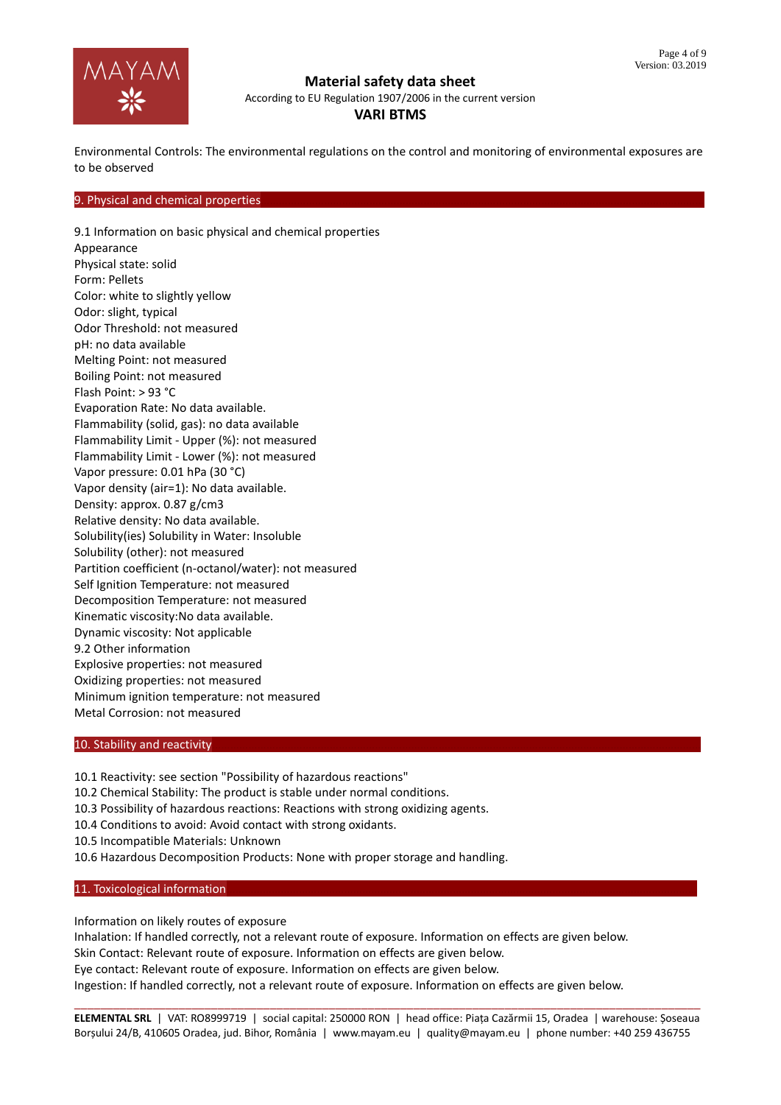

According to EU Regulation 1907/2006 in the current version

# **VARI BTMS**

Environmental Controls: The environmental regulations on the control and monitoring of environmental exposures are to be observed

#### 9. Physical and chemical properties

9.1 Information on basic physical and chemical properties Appearance Physical state: solid Form: Pellets Color: white to slightly yellow Odor: slight, typical Odor Threshold: not measured pH: no data available Melting Point: not measured Boiling Point: not measured Flash Point: > 93 °C Evaporation Rate: No data available. Flammability (solid, gas): no data available Flammability Limit - Upper (%): not measured Flammability Limit - Lower (%): not measured Vapor pressure: 0.01 hPa (30 °C) Vapor density (air=1): No data available. Density: approx. 0.87 g/cm3 Relative density: No data available. Solubility(ies) Solubility in Water: Insoluble Solubility (other): not measured Partition coefficient (n-octanol/water): not measured Self Ignition Temperature: not measured Decomposition Temperature: not measured Kinematic viscosity:No data available. Dynamic viscosity: Not applicable 9.2 Other information Explosive properties: not measured Oxidizing properties: not measured Minimum ignition temperature: not measured Metal Corrosion: not measured

## 10. Stability and reactivity

10.1 Reactivity: see section "Possibility of hazardous reactions"

10.2 Chemical Stability: The product is stable under normal conditions.

10.3 Possibility of hazardous reactions: Reactions with strong oxidizing agents.

10.4 Conditions to avoid: Avoid contact with strong oxidants.

10.5 Incompatible Materials: Unknown

10.6 Hazardous Decomposition Products: None with proper storage and handling.

11. Toxicological information

Information on likely routes of exposure

Inhalation: If handled correctly, not a relevant route of exposure. Information on effects are given below. Skin Contact: Relevant route of exposure. Information on effects are given below. Eye contact: Relevant route of exposure. Information on effects are given below. Ingestion: If handled correctly, not a relevant route of exposure. Information on effects are given below.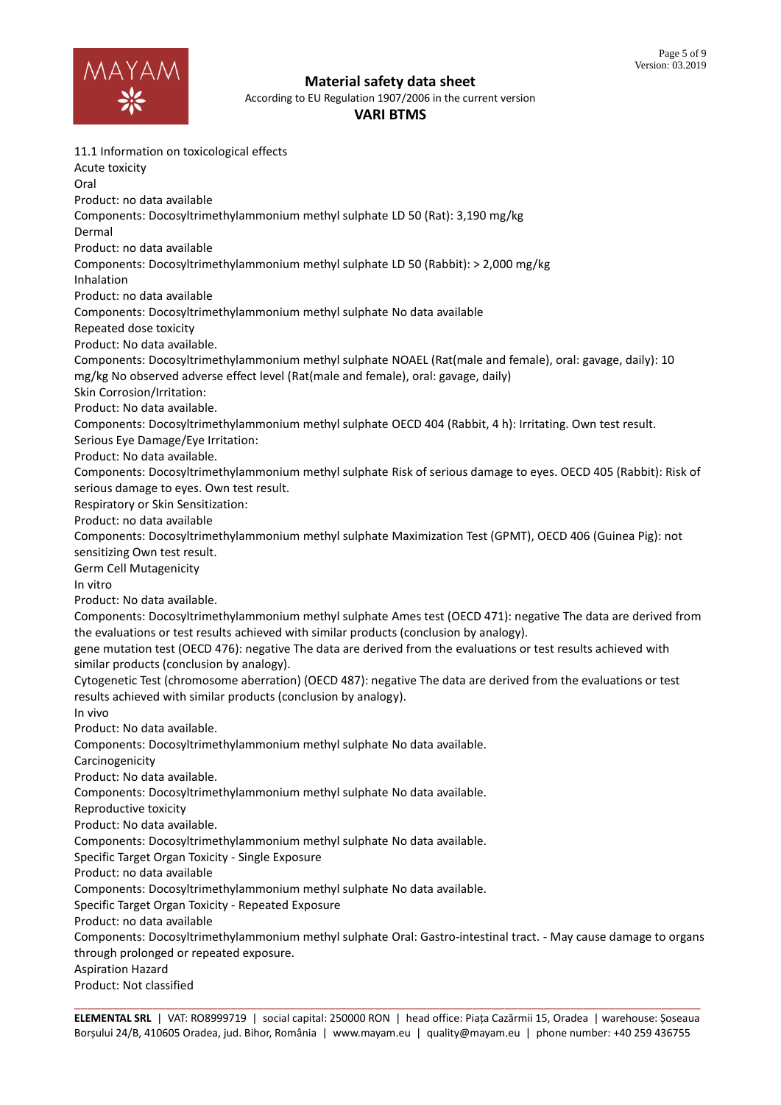

According to EU Regulation 1907/2006 in the current version

**VARI BTMS**

11.1 Information on toxicological effects Acute toxicity Oral Product: no data available Components: Docosyltrimethylammonium methyl sulphate LD 50 (Rat): 3,190 mg/kg Dermal Product: no data available Components: Docosyltrimethylammonium methyl sulphate LD 50 (Rabbit): > 2,000 mg/kg Inhalation Product: no data available Components: Docosyltrimethylammonium methyl sulphate No data available Repeated dose toxicity Product: No data available. Components: Docosyltrimethylammonium methyl sulphate NOAEL (Rat(male and female), oral: gavage, daily): 10 mg/kg No observed adverse effect level (Rat(male and female), oral: gavage, daily) Skin Corrosion/Irritation: Product: No data available. Components: Docosyltrimethylammonium methyl sulphate OECD 404 (Rabbit, 4 h): Irritating. Own test result. Serious Eye Damage/Eye Irritation: Product: No data available. Components: Docosyltrimethylammonium methyl sulphate Risk of serious damage to eyes. OECD 405 (Rabbit): Risk of serious damage to eyes. Own test result. Respiratory or Skin Sensitization: Product: no data available Components: Docosyltrimethylammonium methyl sulphate Maximization Test (GPMT), OECD 406 (Guinea Pig): not sensitizing Own test result. Germ Cell Mutagenicity In vitro Product: No data available. Components: Docosyltrimethylammonium methyl sulphate Ames test (OECD 471): negative The data are derived from the evaluations or test results achieved with similar products (conclusion by analogy). gene mutation test (OECD 476): negative The data are derived from the evaluations or test results achieved with similar products (conclusion by analogy). Cytogenetic Test (chromosome aberration) (OECD 487): negative The data are derived from the evaluations or test results achieved with similar products (conclusion by analogy). In vivo Product: No data available. Components: Docosyltrimethylammonium methyl sulphate No data available. Carcinogenicity Product: No data available. Components: Docosyltrimethylammonium methyl sulphate No data available. Reproductive toxicity Product: No data available. Components: Docosyltrimethylammonium methyl sulphate No data available. Specific Target Organ Toxicity - Single Exposure Product: no data available Components: Docosyltrimethylammonium methyl sulphate No data available. Specific Target Organ Toxicity - Repeated Exposure Product: no data available Components: Docosyltrimethylammonium methyl sulphate Oral: Gastro-intestinal tract. - May cause damage to organs through prolonged or repeated exposure. Aspiration Hazard Product: Not classified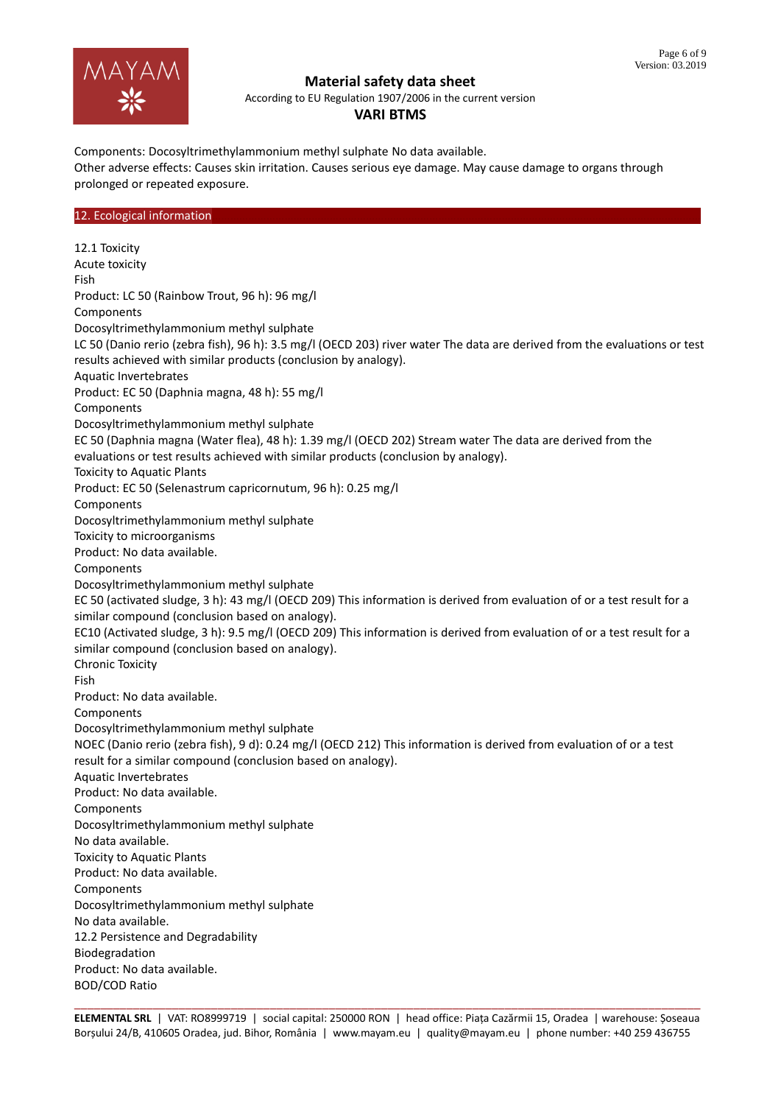

According to EU Regulation 1907/2006 in the current version

# **VARI BTMS**

Components: Docosyltrimethylammonium methyl sulphate No data available. Other adverse effects: Causes skin irritation. Causes serious eye damage. May cause damage to organs through prolonged or repeated exposure.

## 12. Ecological information

12.1 Toxicity Acute toxicity Fish Product: LC 50 (Rainbow Trout, 96 h): 96 mg/l Components Docosyltrimethylammonium methyl sulphate LC 50 (Danio rerio (zebra fish), 96 h): 3.5 mg/l (OECD 203) river water The data are derived from the evaluations or test results achieved with similar products (conclusion by analogy). Aquatic Invertebrates Product: EC 50 (Daphnia magna, 48 h): 55 mg/l Components Docosyltrimethylammonium methyl sulphate EC 50 (Daphnia magna (Water flea), 48 h): 1.39 mg/l (OECD 202) Stream water The data are derived from the evaluations or test results achieved with similar products (conclusion by analogy). Toxicity to Aquatic Plants Product: EC 50 (Selenastrum capricornutum, 96 h): 0.25 mg/l Components Docosyltrimethylammonium methyl sulphate Toxicity to microorganisms Product: No data available. Components Docosyltrimethylammonium methyl sulphate EC 50 (activated sludge, 3 h): 43 mg/l (OECD 209) This information is derived from evaluation of or a test result for a similar compound (conclusion based on analogy). EC10 (Activated sludge, 3 h): 9.5 mg/l (OECD 209) This information is derived from evaluation of or a test result for a similar compound (conclusion based on analogy). Chronic Toxicity Fish Product: No data available. Components Docosyltrimethylammonium methyl sulphate NOEC (Danio rerio (zebra fish), 9 d): 0.24 mg/l (OECD 212) This information is derived from evaluation of or a test result for a similar compound (conclusion based on analogy). Aquatic Invertebrates Product: No data available. Components Docosyltrimethylammonium methyl sulphate No data available. Toxicity to Aquatic Plants Product: No data available. Components Docosyltrimethylammonium methyl sulphate No data available. 12.2 Persistence and Degradability Biodegradation Product: No data available. BOD/COD Ratio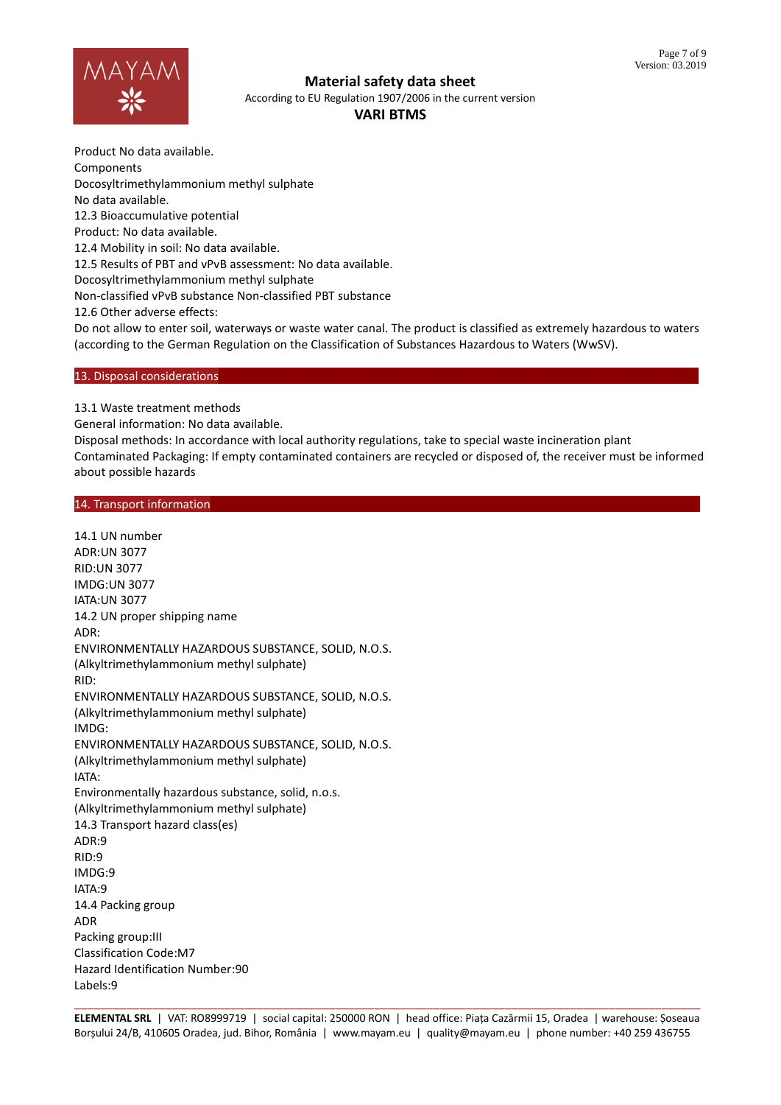

According to EU Regulation 1907/2006 in the current version

# **VARI BTMS**

Product No data available. Components Docosyltrimethylammonium methyl sulphate No data available. 12.3 Bioaccumulative potential Product: No data available. 12.4 Mobility in soil: No data available. 12.5 Results of PBT and vPvB assessment: No data available. Docosyltrimethylammonium methyl sulphate Non-classified vPvB substance Non-classified PBT substance 12.6 Other adverse effects:

Do not allow to enter soil, waterways or waste water canal. The product is classified as extremely hazardous to waters (according to the German Regulation on the Classification of Substances Hazardous to Waters (WwSV).

## 13. Disposal considerations

13.1 Waste treatment methods

General information: No data available.

Disposal methods: In accordance with local authority regulations, take to special waste incineration plant Contaminated Packaging: If empty contaminated containers are recycled or disposed of, the receiver must be informed about possible hazards

## 14. Transport information

14.1 UN number ADR:UN 3077 RID:UN 3077 IMDG:UN 3077 IATA:UN 3077 14.2 UN proper shipping name ADR: ENVIRONMENTALLY HAZARDOUS SUBSTANCE, SOLID, N.O.S. (Alkyltrimethylammonium methyl sulphate) RID: ENVIRONMENTALLY HAZARDOUS SUBSTANCE, SOLID, N.O.S. (Alkyltrimethylammonium methyl sulphate) IMDG: ENVIRONMENTALLY HAZARDOUS SUBSTANCE, SOLID, N.O.S. (Alkyltrimethylammonium methyl sulphate) IATA: Environmentally hazardous substance, solid, n.o.s. (Alkyltrimethylammonium methyl sulphate) 14.3 Transport hazard class(es)  $ADR.9$ RID:9 IMDG:9 IATA:9 14.4 Packing group ADR Packing group:III Classification Code:M7 Hazard Identification Number:90 Labels:9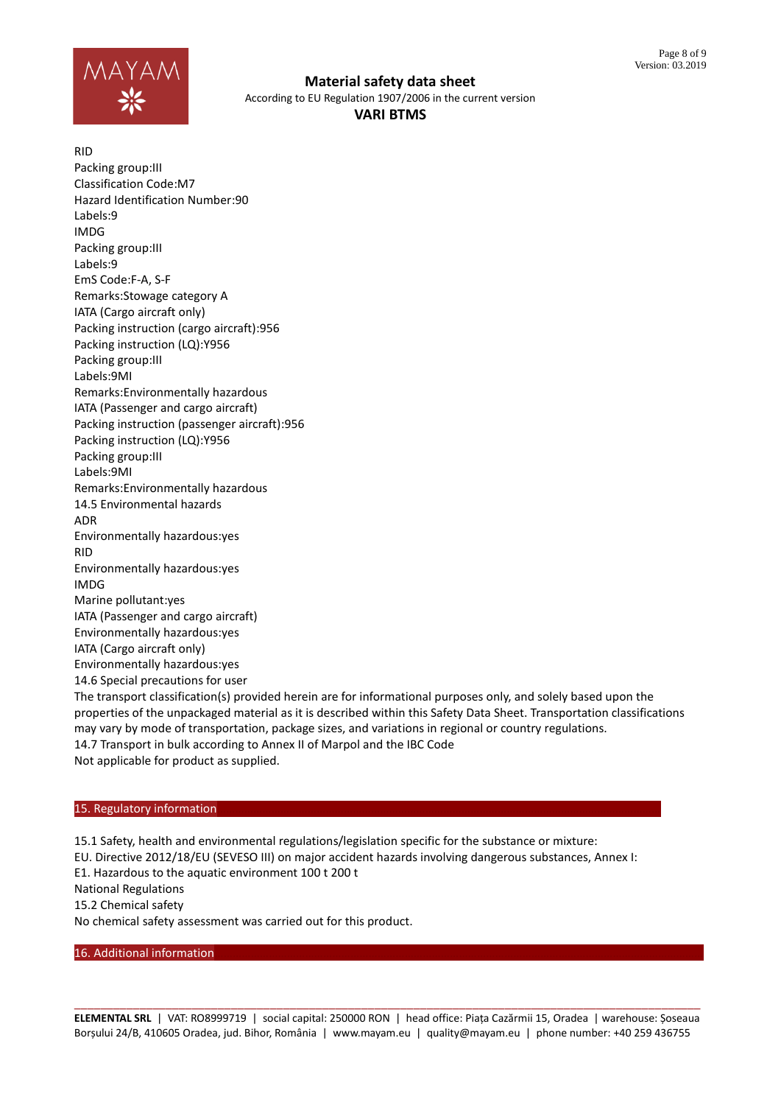

According to EU Regulation 1907/2006 in the current version

**VARI BTMS**

RID Packing group:III Classification Code:M7 Hazard Identification Number:90 Labels:9 IMDG Packing group:III Labels:9 EmS Code:F-A, S-F Remarks:Stowage category A IATA (Cargo aircraft only) Packing instruction (cargo aircraft):956 Packing instruction (LQ):Y956 Packing group:III Labels:9MI Remarks:Environmentally hazardous IATA (Passenger and cargo aircraft) Packing instruction (passenger aircraft):956 Packing instruction (LQ):Y956 Packing group:III Labels:9MI Remarks:Environmentally hazardous 14.5 Environmental hazards ADR Environmentally hazardous:yes RID Environmentally hazardous:yes IMDG Marine pollutant:yes IATA (Passenger and cargo aircraft) Environmentally hazardous:yes IATA (Cargo aircraft only) Environmentally hazardous:yes 14.6 Special precautions for user

The transport classification(s) provided herein are for informational purposes only, and solely based upon the properties of the unpackaged material as it is described within this Safety Data Sheet. Transportation classifications may vary by mode of transportation, package sizes, and variations in regional or country regulations. 14.7 Transport in bulk according to Annex II of Marpol and the IBC Code Not applicable for product as supplied.

#### 15. Regulatory information

15.1 Safety, health and environmental regulations/legislation specific for the substance or mixture: EU. Directive 2012/18/EU (SEVESO III) on major accident hazards involving dangerous substances, Annex I: E1. Hazardous to the aquatic environment 100 t 200 t National Regulations 15.2 Chemical safety No chemical safety assessment was carried out for this product.

16. Additional information